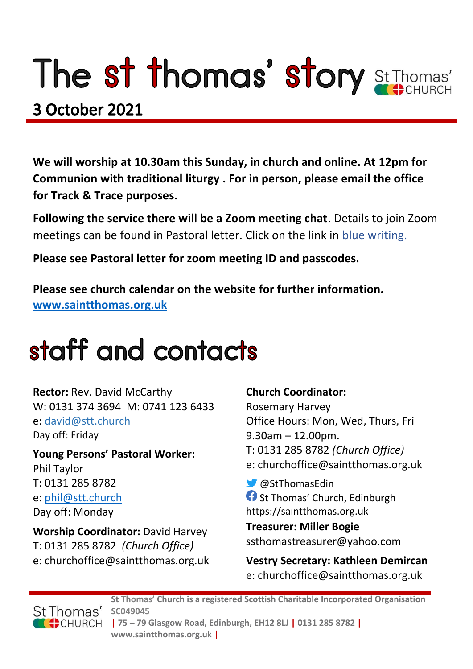# The st thomas' story St Thomas'

### 3 October 2021

**We will worship at 10.30am this Sunday, in church and online. At 12pm for Communion with traditional liturgy . For in person, please email the office for Track & Trace purposes.**

**Following the service there will be a Zoom meeting chat**. Details to join Zoom meetings can be found in Pastoral letter. Click on the link in blue writing.

**Please see Pastoral letter for zoom meeting ID and passcodes.**

**Please see church calendar on the website for further information. [www.saintthomas.org.uk](http://www.saintthomas.org.uk/)**

### staff and contacts

**Rector:** Rev. David McCarthy W: 0131 374 3694 M: 0741 123 6433 e: david@stt.church Day off: Friday

**Young Persons' Pastoral Worker:** Phil Taylor T: 0131 285 8782 e: [phil@stt.church](mailto:phil@stt.church) Day off: Monday

**Worship Coordinator:** David Harvey T: 0131 285 8782 *(Church Office)* e: churchoffice@saintthomas.org.uk

#### **Church Coordinator:**

Rosemary Harvey Office Hours: Mon, Wed, Thurs, Fri 9.30am – 12.00pm. T: 0131 285 8782 *(Church Office)* e: churchoffice@saintthomas.org.uk

@StThomasEdin **St Thomas' Church, Edinburgh** https://saintthomas.org.uk

**Treasurer: Miller Bogie** ssthomastreasurer@yahoo.com

**Vestry Secretary: Kathleen Demircan**  e: churchoffice@saintthomas.org.uk



**St Thomas' Church is a registered Scottish Charitable Incorporated Organisation SC049045 | 75 – 79 Glasgow Road, Edinburgh, EH12 8LJ | 0131 285 8782 | www.saintthomas.org.uk |**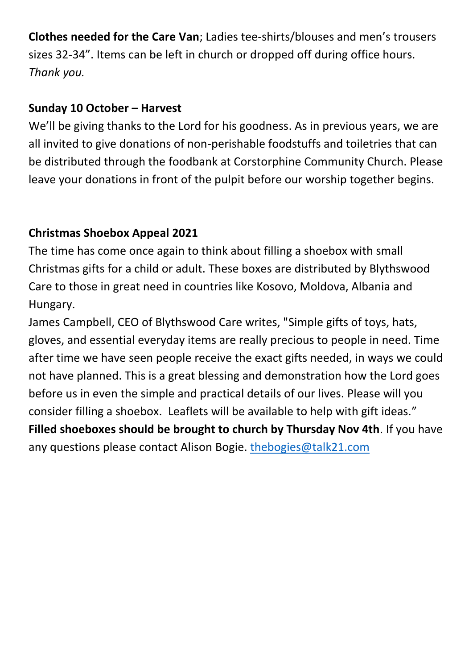**Clothes needed for the Care Van**; Ladies tee-shirts/blouses and men's trousers sizes 32-34". Items can be left in church or dropped off during office hours. *Thank you.*

#### **Sunday 10 October – Harvest**

We'll be giving thanks to the Lord for his goodness. As in previous years, we are all invited to give donations of non-perishable foodstuffs and toiletries that can be distributed through the foodbank at Corstorphine Community Church. Please leave your donations in front of the pulpit before our worship together begins.

#### **Christmas Shoebox Appeal 2021**

The time has come once again to think about filling a shoebox with small Christmas gifts for a child or adult. These boxes are distributed by Blythswood Care to those in great need in countries like Kosovo, Moldova, Albania and Hungary.

James Campbell, CEO of Blythswood Care writes, "Simple gifts of toys, hats, gloves, and essential everyday items are really precious to people in need. Time after time we have seen people receive the exact gifts needed, in ways we could not have planned. This is a great blessing and demonstration how the Lord goes before us in even the simple and practical details of our lives. Please will you consider filling a shoebox. Leaflets will be available to help with gift ideas." **Filled shoeboxes should be brought to church by Thursday Nov 4th**. If you have

any questions please contact Alison Bogie. [thebogies@talk21.com](mailto:thebogies@talk21.com)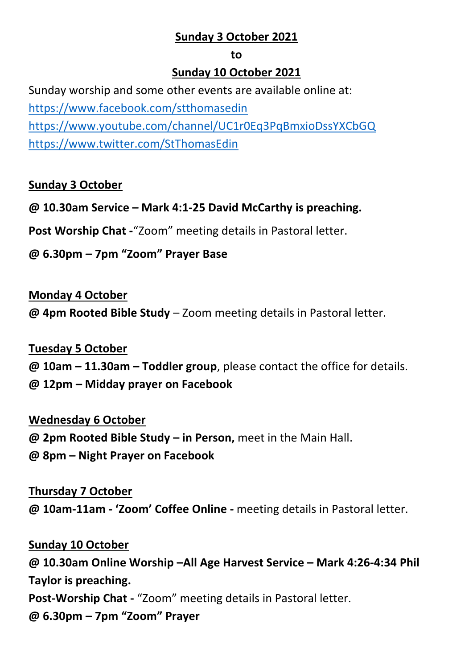#### **Sunday 3 October 2021**

#### **to**

#### **Sunday 10 October 2021**

Sunday worship and some other events are available online at: <https://www.facebook.com/stthomasedin> <https://www.youtube.com/channel/UC1r0Eq3PqBmxioDssYXCbGQ> <https://www.twitter.com/StThomasEdin>

#### **Sunday 3 October**

**@ 10.30am Service – Mark 4:1-25 David McCarthy is preaching.**

**Post Worship Chat -**"Zoom" meeting details in Pastoral letter.

**@ 6.30pm – 7pm "Zoom" Prayer Base**

#### **Monday 4 October**

**@ 4pm Rooted Bible Study** – Zoom meeting details in Pastoral letter.

#### **Tuesday 5 October**

- **@ 10am – 11.30am – Toddler group**, please contact the office for details.
- **@ 12pm – Midday prayer on Facebook**

#### **Wednesday 6 October**

**@ 2pm Rooted Bible Study – in Person,** meet in the Main Hall. **@ 8pm – Night Prayer on Facebook** 

#### **Thursday 7 October**

**@ 10am-11am - 'Zoom' Coffee Online -** meeting details in Pastoral letter.

**Sunday 10 October @ 10.30am Online Worship –All Age Harvest Service – Mark 4:26-4:34 Phil Taylor is preaching. Post-Worship Chat -** "Zoom" meeting details in Pastoral letter. **@ 6.30pm – 7pm "Zoom" Prayer**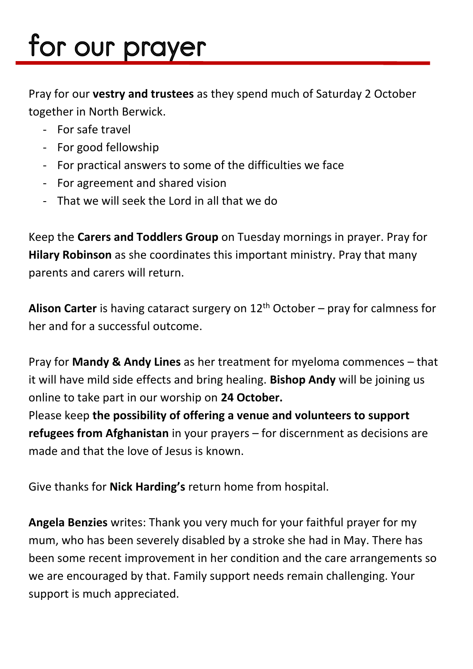## for our prayer

Pray for our **vestry and trustees** as they spend much of Saturday 2 October together in North Berwick.

- For safe travel
- For good fellowship
- For practical answers to some of the difficulties we face
- For agreement and shared vision
- That we will seek the Lord in all that we do

Keep the **Carers and Toddlers Group** on Tuesday mornings in prayer. Pray for **Hilary Robinson** as she coordinates this important ministry. Pray that many parents and carers will return.

Alison Carter is having cataract surgery on 12<sup>th</sup> October – pray for calmness for her and for a successful outcome.

Pray for **Mandy & Andy Lines** as her treatment for myeloma commences – that it will have mild side effects and bring healing. **Bishop Andy** will be joining us online to take part in our worship on **24 October.**

Please keep **the possibility of offering a venue and volunteers to support refugees from Afghanistan** in your prayers – for discernment as decisions are made and that the love of Jesus is known.

Give thanks for **Nick Harding's** return home from hospital.

**Angela Benzies** writes: Thank you very much for your faithful prayer for my mum, who has been severely disabled by a stroke she had in May. There has been some recent improvement in her condition and the care arrangements so we are encouraged by that. Family support needs remain challenging. Your support is much appreciated.